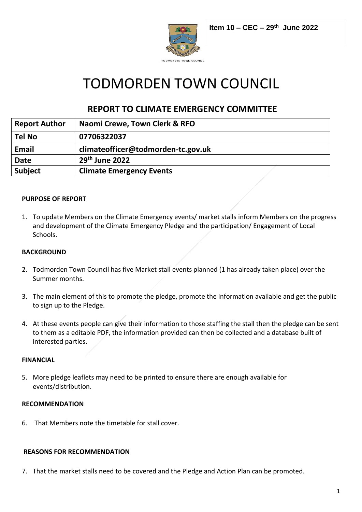

# TODMORDEN TOWN COUNCIL

# **REPORT TO CLIMATE EMERGENCY COMMITTEE**

| <b>Report Author</b> | Naomi Crewe, Town Clerk & RFO      |
|----------------------|------------------------------------|
| <b>Tel No</b>        | 07706322037                        |
| Email                | climateofficer@todmorden-tc.gov.uk |
| <b>Date</b>          | $29th$ June 2022                   |
| <b>Subject</b>       | <b>Climate Emergency Events</b>    |

# **PURPOSE OF REPORT**

1. To update Members on the Climate Emergency events/ market stalls inform Members on the progress and development of the Climate Emergency Pledge and the participation/ Engagement of Local Schools.

#### **BACKGROUND**

- 2. Todmorden Town Council has five Market stall events planned (1 has already taken place) over the Summer months.
- 3. The main element of this to promote the pledge, promote the information available and get the public to sign up to the Pledge.
- 4. At these events people can give their information to those staffing the stall then the pledge can be sent to them as a editable PDF, the information provided can then be collected and a database built of interested parties.

#### **FINANCIAL**

5. More pledge leaflets may need to be printed to ensure there are enough available for events/distribution.

#### **RECOMMENDATION**

6. That Members note the timetable for stall cover.

#### **REASONS FOR RECOMMENDATION**

7. That the market stalls need to be covered and the Pledge and Action Plan can be promoted.